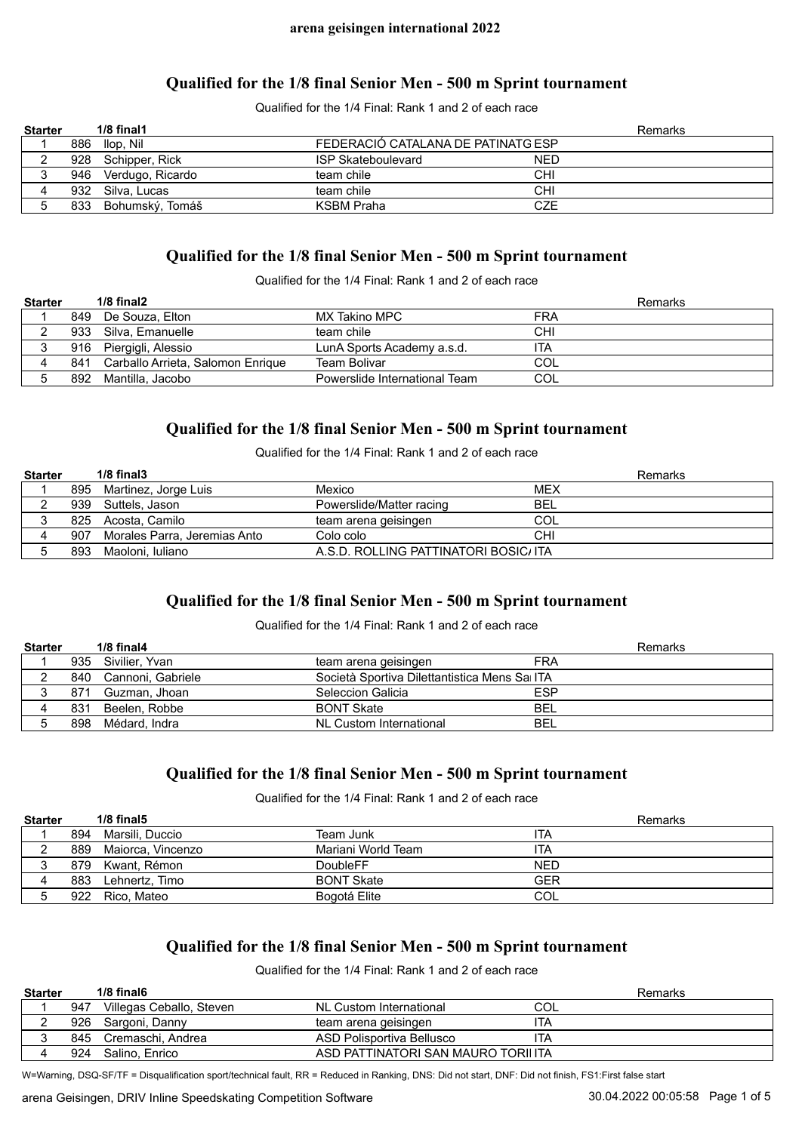## **Qualified for the 1/8 final Senior Men - 500 m Sprint tournament**

Qualified for the 1/4 Final: Rank 1 and 2 of each race

| <b>Starter</b> | $1/8$ final $1$      |                                    | Remarks    |  |
|----------------|----------------------|------------------------------------|------------|--|
|                | 886 Ilop, Nil        | FEDERACIÓ CATALANA DE PATINATG ESP |            |  |
|                | 928 Schipper, Rick   | <b>ISP Skateboulevard</b>          | <b>NED</b> |  |
|                | 946 Verdugo, Ricardo | team chile                         | <b>CHI</b> |  |
|                | 932 Silva, Lucas     | team chile                         | <b>CHI</b> |  |
|                | 833 Bohumský, Tomáš  | <b>KSBM Praha</b>                  | CZE        |  |

### **Qualified for the 1/8 final Senior Men - 500 m Sprint tournament**

Qualified for the 1/4 Final: Rank 1 and 2 of each race

| <b>Starter</b> |     | $1/8$ final $2$                   |                               | Remarks    |
|----------------|-----|-----------------------------------|-------------------------------|------------|
|                |     | 849 De Souza, Elton               | MX Takino MPC                 | FRA        |
|                | 933 | Silva. Emanuelle                  | team chile                    | <b>CHI</b> |
|                |     | 916 Piergigli, Alessio            | LunA Sports Academy a.s.d.    | ITA        |
|                | 841 | Carballo Arrieta, Salomon Enrique | Team Bolivar                  | COL        |
|                | 892 | Mantilla, Jacobo                  | Powerslide International Team | COL        |

## **Qualified for the 1/8 final Senior Men - 500 m Sprint tournament**

Qualified for the 1/4 Final: Rank 1 and 2 of each race

| <b>Starter</b> |     | $1/8$ final $3$              |                                       | Remarks    |
|----------------|-----|------------------------------|---------------------------------------|------------|
|                |     | 895 Martinez, Jorge Luis     | Mexico                                | MEX        |
|                |     | 939 Suttels, Jason           | Powerslide/Matter racing              | <b>BEL</b> |
|                |     | 825 Acosta, Camilo           | team arena geisingen                  | COL        |
|                | 907 | Morales Parra, Jeremias Anto | Colo colo                             | <b>CHI</b> |
|                | 893 | Maoloni. Iuliano             | A.S.D. ROLLING PATTINATORI BOSIC/ ITA |            |

# **Qualified for the 1/8 final Senior Men - 500 m Sprint tournament**

#### Qualified for the 1/4 Final: Rank 1 and 2 of each race

| <b>Starter</b> |     | $1/8$ final 4         |                                               |            | Remarks |
|----------------|-----|-----------------------|-----------------------------------------------|------------|---------|
|                |     | 935 Sivilier, Yvan    | team arena geisingen                          | <b>FRA</b> |         |
|                |     | 840 Cannoni, Gabriele | Società Sportiva Dilettantistica Mens Sai ITA |            |         |
|                | 871 | Guzman, Jhoan         | Seleccion Galicia                             | <b>ESP</b> |         |
|                | 831 | Beelen. Robbe         | <b>BONT Skate</b>                             | <b>BEL</b> |         |
|                | 898 | Médard. Indra         | NL Custom International                       | <b>BEL</b> |         |

# **Qualified for the 1/8 final Senior Men - 500 m Sprint tournament**

Qualified for the 1/4 Final: Rank 1 and 2 of each race

| <b>Starter</b> |     | $1/8$ final $5$       |                    | Remarks    |
|----------------|-----|-----------------------|--------------------|------------|
|                | 894 | Marsili. Duccio       | Team Junk          | ITA        |
|                |     | 889 Maiorca, Vincenzo | Mariani World Team | ita        |
|                |     | 879 Kwant, Rémon      | <b>DoubleFF</b>    | <b>NED</b> |
|                |     | 883 Lehnertz, Timo    | <b>BONT Skate</b>  | <b>GER</b> |
|                | 922 | Rico. Mateo           | Bogotá Elite       | COL        |

# **Qualified for the 1/8 final Senior Men - 500 m Sprint tournament**

Qualified for the 1/4 Final: Rank 1 and 2 of each race

| <b>Starter</b> |      | $1/8$ final 6            |                                    | Remarks |
|----------------|------|--------------------------|------------------------------------|---------|
|                | 947  | Villegas Ceballo, Steven | NL Custom International            | COL     |
|                | 926. | Sargoni, Danny           | team arena geisingen               | 'TA     |
|                | 845  | Cremaschi. Andrea        | ASD Polisportiva Bellusco          | 'TA     |
|                | 924  | Salino. Enrico           | ASD PATTINATORI SAN MAURO TORILITA |         |

W=Warning, DSQ-SF/TF = Disqualification sport/technical fault, RR = Reduced in Ranking, DNS: Did not start, DNF: Did not finish, FS1:First false start

arena Geisingen, DRIV Inline Speedskating Competition Software 30.04.2022 00:04.2022 00:05:58 Page 1 of 5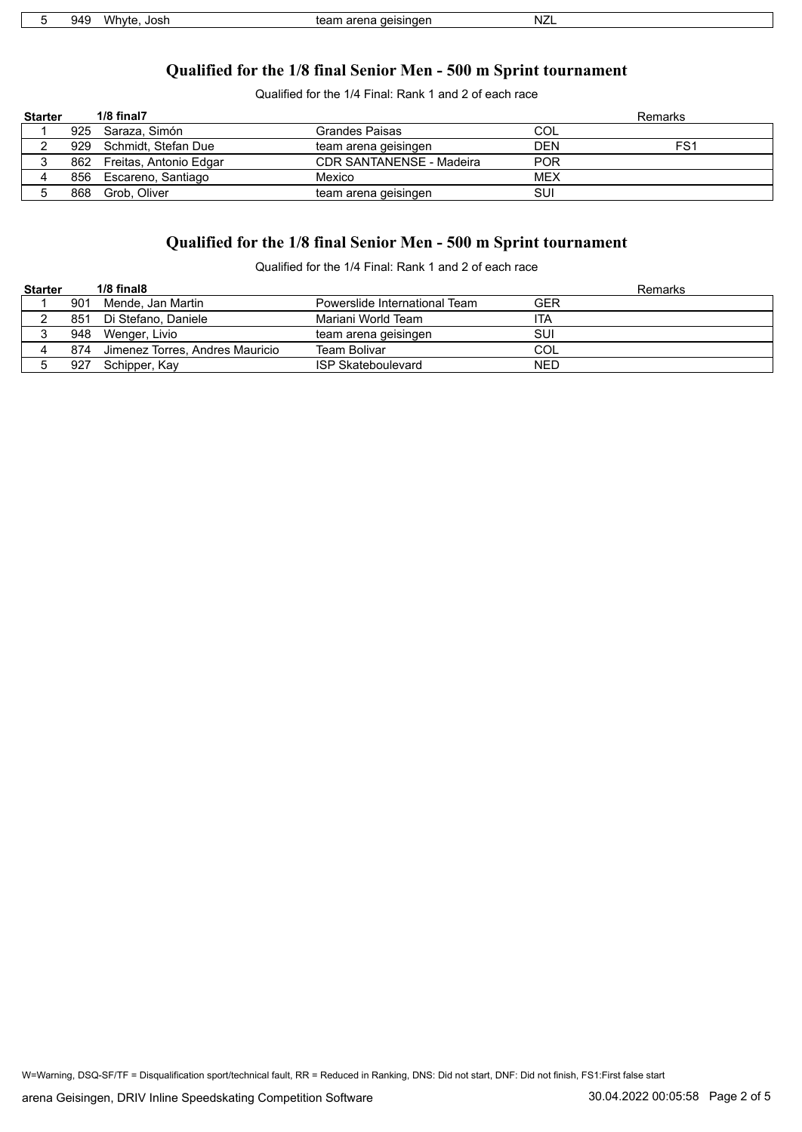| いい<br>.111<br>Josr<br>16.<br>$\sim$ $\sim$ | aeisingen<br>ran.<br>חבב<br>-21 | NZL |  |
|--------------------------------------------|---------------------------------|-----|--|

# **Qualified for the 1/8 final Senior Men - 500 m Sprint tournament**

Qualified for the 1/4 Final: Rank 1 and 2 of each race

| <b>Starter</b> |     | 1/8 final7                 |                                 |            | Remarks         |
|----------------|-----|----------------------------|---------------------------------|------------|-----------------|
|                |     | 925 Saraza, Simón          | Grandes Paisas                  | COL        |                 |
|                |     | 929 Schmidt, Stefan Due    | team arena geisingen            | <b>DEN</b> | FS <sub>1</sub> |
|                |     | 862 Freitas, Antonio Edgar | <b>CDR SANTANENSE - Madeira</b> | <b>POR</b> |                 |
|                |     | 856 Escareno, Santiago     | Mexico                          | MEX        |                 |
|                | 868 | Grob. Oliver               | team arena geisingen            | SUI        |                 |

# **Qualified for the 1/8 final Senior Men - 500 m Sprint tournament**

Qualified for the 1/4 Final: Rank 1 and 2 of each race

| <b>Starter</b> |     | $1/8$ final $8$                 |                               | Remarks    |
|----------------|-----|---------------------------------|-------------------------------|------------|
|                | 901 | Mende, Jan Martin               | Powerslide International Team | GER        |
|                | 851 | Di Stefano. Daniele             | Mariani World Team            | ITA        |
|                | 948 | Wenger, Livio                   | team arena geisingen          | SUI        |
|                | 874 | Jimenez Torres, Andres Mauricio | Team Bolivar                  | COL        |
|                | 927 | Schipper, Kay                   | <b>ISP Skateboulevard</b>     | <b>NED</b> |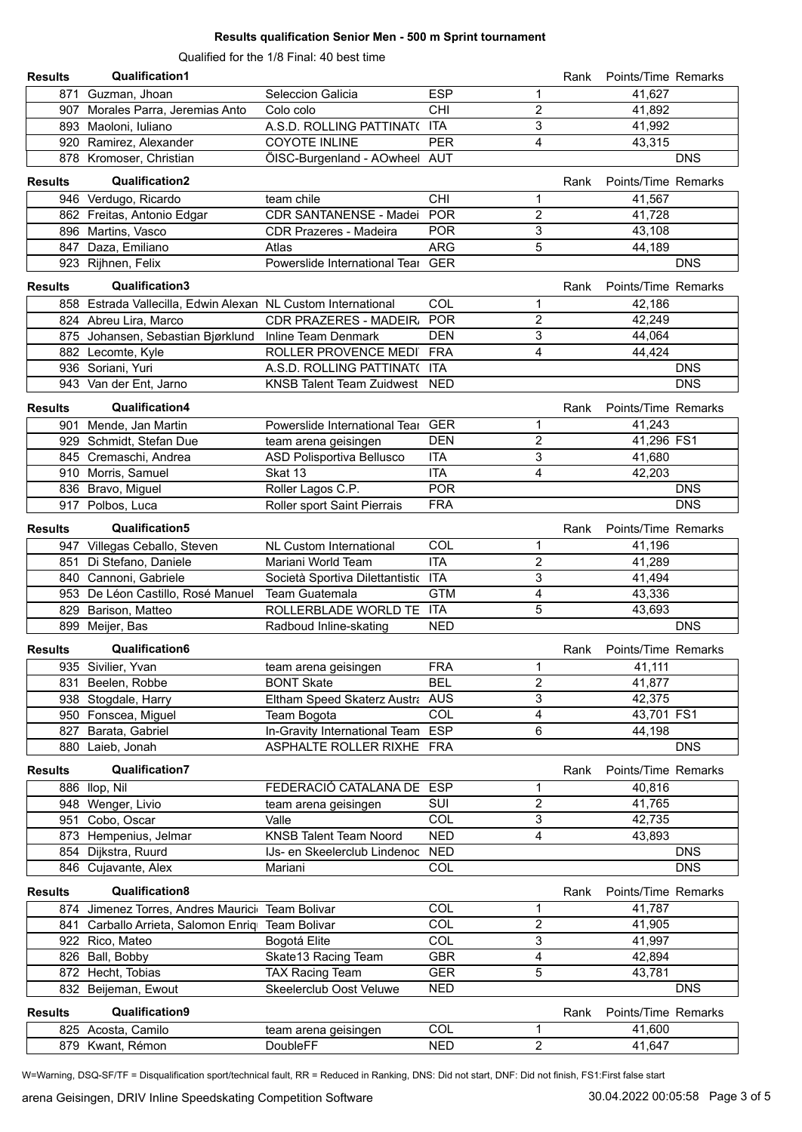#### **Results qualification Senior Men - 500 m Sprint tournament**

Qualified for the 1/8 Final: 40 best time

| <b>Results</b> | <b>Qualification1</b>                                        |                                     |            |                         | Rank | Points/Time Remarks |            |
|----------------|--------------------------------------------------------------|-------------------------------------|------------|-------------------------|------|---------------------|------------|
|                | 871 Guzman, Jhoan                                            | Seleccion Galicia                   | <b>ESP</b> | $\mathbf 1$             |      | 41,627              |            |
|                | 907 Morales Parra, Jeremias Anto                             | Colo colo                           | CHI        | $\overline{2}$          |      | 41,892              |            |
|                | 893 Maoloni, Iuliano                                         | A.S.D. ROLLING PATTINAT( ITA        |            | 3                       |      | 41,992              |            |
|                | 920 Ramirez, Alexander                                       | <b>COYOTE INLINE</b>                | <b>PER</b> | $\overline{4}$          |      | 43,315              |            |
|                | 878 Kromoser, Christian                                      | ÖISC-Burgenland - AOwheel AUT       |            |                         |      |                     | <b>DNS</b> |
|                |                                                              |                                     |            |                         |      |                     |            |
| <b>Results</b> | <b>Qualification2</b>                                        |                                     |            |                         | Rank | Points/Time Remarks |            |
|                | 946 Verdugo, Ricardo                                         | team chile                          | CHI        | 1                       |      | 41,567              |            |
|                | 862 Freitas, Antonio Edgar                                   | CDR SANTANENSE - Madei POR          |            | $\overline{2}$          |      | 41,728              |            |
|                | 896 Martins, Vasco                                           | <b>CDR Prazeres - Madeira</b>       | <b>POR</b> | 3                       |      | 43,108              |            |
|                | 847 Daza, Emiliano                                           | Atlas                               | <b>ARG</b> | 5                       |      | 44,189              |            |
|                | 923 Rijhnen, Felix                                           | Powerslide International Tear GER   |            |                         |      |                     | <b>DNS</b> |
| <b>Results</b> | Qualification3                                               |                                     |            |                         | Rank | Points/Time Remarks |            |
|                | 858 Estrada Vallecilla, Edwin Alexan NL Custom International |                                     | COL        | 1                       |      | 42,186              |            |
|                | 824 Abreu Lira, Marco                                        | CDR PRAZERES - MADEIR, POR          |            | $\overline{2}$          |      | 42,249              |            |
|                | 875 Johansen, Sebastian Bjørklund Inline Team Denmark        |                                     | <b>DEN</b> | 3                       |      | 44,064              |            |
|                | 882 Lecomte, Kyle                                            | ROLLER PROVENCE MEDI FRA            |            | 4                       |      | 44,424              |            |
|                | 936 Soriani, Yuri                                            | A.S.D. ROLLING PATTINAT( ITA        |            |                         |      |                     | <b>DNS</b> |
|                | 943 Van der Ent, Jarno                                       | KNSB Talent Team Zuidwest NED       |            |                         |      |                     | <b>DNS</b> |
|                |                                                              |                                     |            |                         |      |                     |            |
| <b>Results</b> | Qualification4                                               |                                     |            |                         | Rank | Points/Time Remarks |            |
|                | 901 Mende, Jan Martin                                        | Powerslide International Tear GER   |            | $\mathbf 1$             |      | 41,243              |            |
|                | 929 Schmidt, Stefan Due                                      | team arena geisingen                | <b>DEN</b> | $\overline{2}$          |      | 41,296 FS1          |            |
|                | 845 Cremaschi, Andrea                                        | ASD Polisportiva Bellusco           | <b>ITA</b> | 3                       |      | 41,680              |            |
|                | 910 Morris, Samuel                                           | Skat 13                             | <b>ITA</b> | $\overline{4}$          |      | 42,203              |            |
|                | 836 Bravo, Miguel                                            | Roller Lagos C.P.                   | <b>POR</b> |                         |      |                     | <b>DNS</b> |
|                | 917 Polbos, Luca                                             | Roller sport Saint Pierrais         | <b>FRA</b> |                         |      |                     | <b>DNS</b> |
| <b>Results</b> | Qualification5                                               |                                     |            |                         | Rank | Points/Time Remarks |            |
|                | 947 Villegas Ceballo, Steven                                 | <b>NL Custom International</b>      | COL        | 1                       |      | 41,196              |            |
|                | 851 Di Stefano, Daniele                                      | Mariani World Team                  | <b>ITA</b> | $\overline{c}$          |      | 41,289              |            |
|                | 840 Cannoni, Gabriele                                        | Società Sportiva Dilettantistic ITA |            | 3                       |      | 41,494              |            |
|                | 953 De Léon Castillo, Rosé Manuel Team Guatemala             |                                     | <b>GTM</b> | 4                       |      | 43,336              |            |
|                | 829 Barison, Matteo                                          | ROLLERBLADE WORLD TE ITA            |            | 5                       |      | 43,693              |            |
|                | 899 Meijer, Bas                                              | Radboud Inline-skating              | <b>NED</b> |                         |      |                     | <b>DNS</b> |
|                |                                                              |                                     |            |                         |      |                     |            |
| <b>Results</b> | Qualification6                                               |                                     |            |                         | Rank | Points/Time Remarks |            |
|                | 935 Sivilier, Yvan                                           | team arena geisingen                | <b>FRA</b> | $\mathbf{1}$            |      | 41,111              |            |
|                | 831 Beelen, Robbe                                            | <b>BONT Skate</b>                   | <b>BEL</b> | $\overline{2}$          |      | 41,877              |            |
|                | 938 Stogdale, Harry                                          | Eltham Speed Skaterz Austra AUS     |            | 3                       |      | 42,375              |            |
|                | 950 Fonscea, Miguel                                          | Team Bogota                         | COL        | $\overline{\mathbf{4}}$ |      | 43,701 FS1          |            |
|                | 827 Barata, Gabriel                                          | In-Gravity International Team ESP   |            | 6                       |      | 44,198              |            |
|                | 880 Laieb, Jonah                                             | ASPHALTE ROLLER RIXHE FRA           |            |                         |      |                     | <b>DNS</b> |
| <b>Results</b> | <b>Qualification7</b>                                        |                                     |            |                         | Rank | Points/Time Remarks |            |
|                | 886 Ilop, Nil                                                | FEDERACIÓ CATALANA DE ESP           |            | 1                       |      | 40,816              |            |
|                | 948 Wenger, Livio                                            | team arena geisingen                | SUI        | $\overline{c}$          |      | 41,765              |            |
|                | 951 Cobo, Oscar                                              | Valle                               | COL        | 3                       |      | 42,735              |            |
|                | 873 Hempenius, Jelmar                                        | <b>KNSB Talent Team Noord</b>       | <b>NED</b> | 4                       |      | 43,893              |            |
|                | 854 Dijkstra, Ruurd                                          | IJs- en Skeelerclub Lindenoc        | <b>NED</b> |                         |      |                     | <b>DNS</b> |
|                | 846 Cujavante, Alex                                          | Mariani                             | COL        |                         |      |                     | <b>DNS</b> |
| <b>Results</b> | Qualification8                                               |                                     |            |                         | Rank | Points/Time Remarks |            |
|                |                                                              |                                     |            |                         |      |                     |            |
| 874            | Jimenez Torres, Andres Maurici Team Bolivar                  |                                     | COL        | 1                       |      | 41,787              |            |
|                | 841 Carballo Arrieta, Salomon Enriq                          | Team Bolivar                        | COL        | $\overline{c}$          |      | 41,905              |            |
|                | 922 Rico, Mateo                                              | Bogotá Elite                        | COL        | 3                       |      | 41,997              |            |
|                | 826 Ball, Bobby                                              | Skate13 Racing Team                 | <b>GBR</b> | 4                       |      | 42,894              |            |
|                | 872 Hecht, Tobias                                            | <b>TAX Racing Team</b>              | <b>GER</b> | 5                       |      | 43,781              |            |
|                | 832 Beijeman, Ewout                                          | Skeelerclub Oost Veluwe             | <b>NED</b> |                         |      |                     | <b>DNS</b> |
| <b>Results</b> | Qualification9                                               |                                     |            |                         | Rank | Points/Time Remarks |            |
|                | 825 Acosta, Camilo                                           | team arena geisingen                | COL        | 1                       |      | 41,600              |            |
|                | 879 Kwant, Rémon                                             | DoubleFF                            | <b>NED</b> | $\overline{2}$          |      | 41,647              |            |

W=Warning, DSQ-SF/TF = Disqualification sport/technical fault, RR = Reduced in Ranking, DNS: Did not start, DNF: Did not finish, FS1:First false start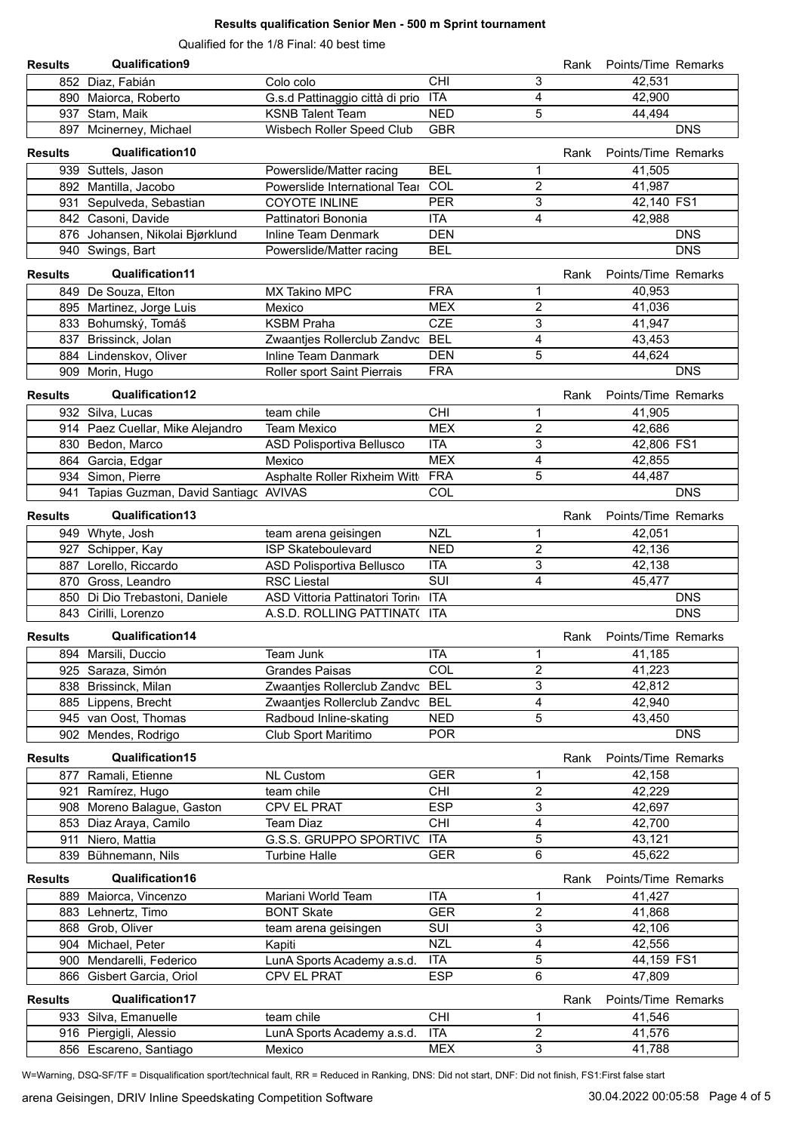#### **Results qualification Senior Men - 500 m Sprint tournament**

Qualified for the 1/8 Final: 40 best time

| <b>Results</b> | Qualification9                           |                                     |                         |                         | Rank | Points/Time Remarks |            |
|----------------|------------------------------------------|-------------------------------------|-------------------------|-------------------------|------|---------------------|------------|
|                | 852 Diaz, Fabián                         | Colo colo                           | <b>CHI</b>              | 3                       |      | 42,531              |            |
|                | 890 Maiorca, Roberto                     | G.s.d Pattinaggio città di prio ITA |                         | $\overline{\mathbf{4}}$ |      | 42,900              |            |
|                | 937 Stam, Maik                           | <b>KSNB Talent Team</b>             | <b>NED</b>              | 5                       |      | 44,494              |            |
|                | 897 Mcinerney, Michael                   | Wisbech Roller Speed Club           | <b>GBR</b>              |                         |      |                     | <b>DNS</b> |
| <b>Results</b> | Qualification10                          |                                     |                         |                         | Rank | Points/Time Remarks |            |
|                | 939 Suttels, Jason                       | Powerslide/Matter racing            | <b>BEL</b>              | 1                       |      | 41,505              |            |
|                | 892 Mantilla, Jacobo                     | Powerslide International Tear       | COL                     | $\overline{2}$          |      | 41,987              |            |
|                | 931 Sepulveda, Sebastian                 | <b>COYOTE INLINE</b>                | <b>PER</b>              | 3                       |      | 42,140 FS1          |            |
|                | 842 Casoni, Davide                       | Pattinatori Bononia                 | <b>ITA</b>              | 4                       |      | 42,988              |            |
|                | 876 Johansen, Nikolai Bjørklund          | Inline Team Denmark                 | <b>DEN</b>              |                         |      |                     | <b>DNS</b> |
|                | 940 Swings, Bart                         | Powerslide/Matter racing            | <b>BEL</b>              |                         |      |                     | <b>DNS</b> |
| <b>Results</b> | Qualification11                          |                                     |                         |                         | Rank | Points/Time Remarks |            |
|                | 849 De Souza, Elton                      | MX Takino MPC                       | <b>FRA</b>              | 1                       |      | 40,953              |            |
|                | 895 Martinez, Jorge Luis                 | Mexico                              | <b>MEX</b>              | 2                       |      | 41,036              |            |
|                | 833 Bohumský, Tomáš                      | <b>KSBM Praha</b>                   | <b>CZE</b>              | 3                       |      | 41,947              |            |
|                | 837 Brissinck, Jolan                     | Zwaantjes Rollerclub Zandvc         | <b>BEL</b>              | 4                       |      | 43,453              |            |
|                | 884 Lindenskov, Oliver                   | <b>Inline Team Danmark</b>          | <b>DEN</b>              | 5                       |      | 44,624              |            |
|                | 909 Morin, Hugo                          | Roller sport Saint Pierrais         | <b>FRA</b>              |                         |      |                     | <b>DNS</b> |
| <b>Results</b> | Qualification12                          |                                     |                         |                         | Rank | Points/Time Remarks |            |
|                | 932 Silva, Lucas                         | team chile                          | <b>CHI</b>              | 1                       |      | 41,905              |            |
|                | 914 Paez Cuellar, Mike Alejandro         | <b>Team Mexico</b>                  | <b>MEX</b>              | $\overline{c}$          |      | 42,686              |            |
|                | 830 Bedon, Marco                         | ASD Polisportiva Bellusco           | <b>ITA</b>              | 3                       |      | 42,806 FS1          |            |
| 864            | Garcia, Edgar                            | Mexico                              | <b>MEX</b>              | 4                       |      | 42,855              |            |
|                | 934 Simon, Pierre                        | Asphalte Roller Rixheim Witt        | <b>FRA</b>              | 5                       |      | 44,487              |            |
|                | 941 Tapias Guzman, David Santiagc AVIVAS |                                     | COL                     |                         |      |                     | <b>DNS</b> |
|                |                                          |                                     |                         |                         |      |                     |            |
| <b>Results</b> | Qualification13                          |                                     |                         |                         | Rank | Points/Time Remarks |            |
|                | 949 Whyte, Josh                          | team arena geisingen                | <b>NZL</b>              | 1                       |      | 42,051              |            |
| 927            | Schipper, Kay                            | <b>ISP Skateboulevard</b>           | <b>NED</b>              | 2                       |      | 42,136              |            |
| 887            | Lorello, Riccardo                        | ASD Polisportiva Bellusco           | <b>ITA</b>              | 3                       |      | 42,138              |            |
|                | 870 Gross, Leandro                       | <b>RSC Liestal</b>                  | $\overline{\text{SUI}}$ | $\overline{4}$          |      | 45,477              |            |
|                | 850 Di Dio Trebastoni, Daniele           | ASD Vittoria Pattinatori Torino     | <b>ITA</b>              |                         |      |                     | <b>DNS</b> |
|                | 843 Cirilli, Lorenzo                     | A.S.D. ROLLING PATTINAT( ITA        |                         |                         |      |                     | <b>DNS</b> |
| <b>Results</b> | Qualification14                          |                                     |                         |                         | Rank | Points/Time Remarks |            |
|                | 894 Marsili, Duccio                      | Team Junk                           | <b>ITA</b>              | 1                       |      | 41,185              |            |
|                | 925 Saraza, Simón                        | <b>Grandes Paisas</b>               | COL                     | $\overline{\mathbf{c}}$ |      | 41,223              |            |
|                | 838 Brissinck, Milan                     | Zwaantjes Rollerclub Zandvc BEL     |                         | 3                       |      | 42,812              |            |
|                | 885 Lippens, Brecht                      | Zwaantjes Rollerclub Zandvc BEL     |                         | 4                       |      | 42,940              |            |
|                | 945 van Oost, Thomas                     | Radboud Inline-skating              | <b>NED</b>              | 5                       |      | 43,450              |            |
|                | 902 Mendes, Rodrigo                      | Club Sport Maritimo                 | <b>POR</b>              |                         |      |                     | <b>DNS</b> |
| <b>Results</b> | Qualification15                          |                                     |                         |                         | Rank | Points/Time Remarks |            |
|                | 877 Ramali, Etienne                      | <b>NL Custom</b>                    | <b>GER</b>              | 1                       |      | 42,158              |            |
|                | 921 Ramírez, Hugo                        | team chile                          | CHI                     | $\boldsymbol{2}$        |      | 42,229              |            |
|                | 908 Moreno Balague, Gaston               | CPV EL PRAT                         | <b>ESP</b>              | 3                       |      | 42,697              |            |
|                | 853 Diaz Araya, Camilo                   | <b>Team Diaz</b>                    | CHI                     | 4                       |      | 42,700              |            |
|                | 911 Niero, Mattia                        | G.S.S. GRUPPO SPORTIVC              | <b>ITA</b>              | 5                       |      | 43,121              |            |
|                | 839 Bühnemann, Nils                      | <b>Turbine Halle</b>                | <b>GER</b>              | 6                       |      | 45,622              |            |
| <b>Results</b> | Qualification16                          |                                     |                         |                         | Rank | Points/Time Remarks |            |
|                | 889 Maiorca, Vincenzo                    | Mariani World Team                  | <b>ITA</b>              | 1                       |      | 41,427              |            |
|                | 883 Lehnertz, Timo                       | <b>BONT Skate</b>                   | <b>GER</b>              | $\boldsymbol{2}$        |      | 41,868              |            |
|                | 868 Grob, Oliver                         | team arena geisingen                | SUI                     | 3                       |      | 42,106              |            |
|                | 904 Michael, Peter                       | Kapiti                              | <b>NZL</b>              | 4                       |      | 42,556              |            |
|                | 900 Mendarelli, Federico                 | LunA Sports Academy a.s.d.          | <b>ITA</b>              | 5                       |      | 44,159 FS1          |            |
|                | 866 Gisbert Garcia, Oriol                | CPV EL PRAT                         | <b>ESP</b>              | 6                       |      | 47,809              |            |
| <b>Results</b> | Qualification17                          |                                     |                         |                         | Rank | Points/Time Remarks |            |
|                | 933 Silva, Emanuelle                     | team chile                          | CHI                     | 1                       |      | 41,546              |            |
|                | 916 Piergigli, Alessio                   | LunA Sports Academy a.s.d.          | <b>ITA</b>              | 2                       |      | 41,576              |            |
|                | 856 Escareno, Santiago                   | Mexico                              | <b>MEX</b>              | 3                       |      | 41,788              |            |

W=Warning, DSQ-SF/TF = Disqualification sport/technical fault, RR = Reduced in Ranking, DNS: Did not start, DNF: Did not finish, FS1:First false start